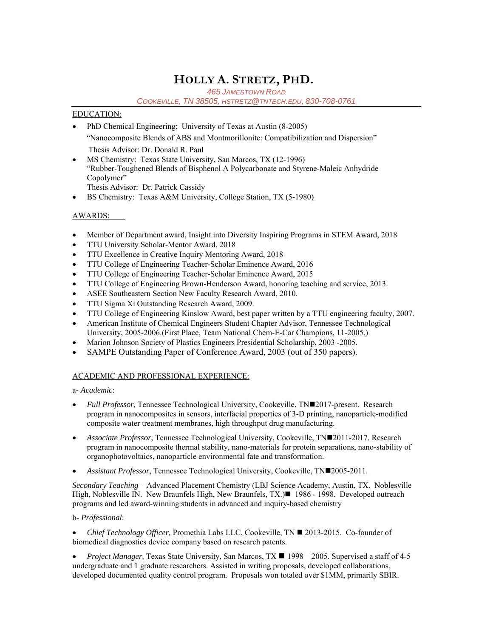# **HOLLY A. STRETZ, PHD.**

*465 JAMESTOWN ROAD*

*COOKEVILLE, TN 38505, HSTRETZ@TNTECH.EDU, 830-708-0761* 

## EDUCATION:

- PhD Chemical Engineering: University of Texas at Austin (8-2005) "Nanocomposite Blends of ABS and Montmorillonite: Compatibilization and Dispersion" Thesis Advisor: Dr. Donald R. Paul
- MS Chemistry: Texas State University, San Marcos, TX (12-1996) "Rubber-Toughened Blends of Bisphenol A Polycarbonate and Styrene-Maleic Anhydride Copolymer" Thesis Advisor: Dr. Patrick Cassidy
- BS Chemistry: Texas A&M University, College Station, TX (5-1980)

# AWARDS:

- Member of Department award, Insight into Diversity Inspiring Programs in STEM Award, 2018
- TTU University Scholar-Mentor Award, 2018
- TTU Excellence in Creative Inquiry Mentoring Award, 2018
- TTU College of Engineering Teacher-Scholar Eminence Award, 2016
- TTU College of Engineering Teacher-Scholar Eminence Award, 2015
- TTU College of Engineering Brown-Henderson Award, honoring teaching and service, 2013.
- ASEE Southeastern Section New Faculty Research Award, 2010.
- TTU Sigma Xi Outstanding Research Award, 2009.
- TTU College of Engineering Kinslow Award, best paper written by a TTU engineering faculty, 2007.
- American Institute of Chemical Engineers Student Chapter Advisor, Tennessee Technological University, 2005-2006.(First Place, Team National Chem-E-Car Champions, 11-2005.)
- Marion Johnson Society of Plastics Engineers Presidential Scholarship, 2003 -2005.
- SAMPE Outstanding Paper of Conference Award, 2003 (out of 350 papers).

# ACADEMIC AND PROFESSIONAL EXPERIENCE:

a- *Academic*:

- *Full Professor*, Tennessee Technological University, Cookeville, TN=2017-present. Research program in nanocomposites in sensors, interfacial properties of 3-D printing, nanoparticle-modified composite water treatment membranes, high throughput drug manufacturing.
- *Associate Professor,* Tennessee Technological University, Cookeville, TN2011-2017. Research program in nanocomposite thermal stability, nano-materials for protein separations, nano-stability of organophotovoltaics, nanoparticle environmental fate and transformation.
- *Assistant Professor*, Tennessee Technological University, Cookeville, TN2005-2011.

*Secondary Teaching* – Advanced Placement Chemistry (LBJ Science Academy, Austin, TX. Noblesville High, Noblesville IN. New Braunfels High, New Braunfels, TX.)■ 1986 - 1998. Developed outreach programs and led award-winning students in advanced and inquiry-based chemistry

## b- *Professional*:

*Chief Technology Officer, Promethia Labs LLC, Cookeville, TN ■ 2013-2015. Co-founder of* biomedical diagnostics device company based on research patents.

*Project Manager*, Texas State University, San Marcos, TX ■ 1998 – 2005. Supervised a staff of 4-5 undergraduate and 1 graduate researchers. Assisted in writing proposals, developed collaborations, developed documented quality control program. Proposals won totaled over \$1MM, primarily SBIR.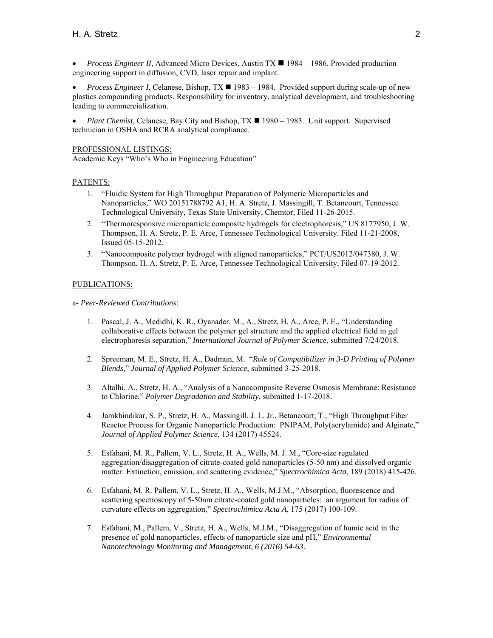*Process Engineer II*, Advanced Micro Devices, Austin TX  $\blacksquare$  1984 – 1986. Provided production engineering support in diffusion, CVD, laser repair and implant.

*Process Engineer I*, Celanese, Bishop,  $TX \blacksquare$  1983 – 1984. Provided support during scale-up of new plastics compounding products. Responsibility for inventory, analytical development, and troubleshooting leading to commercialization.

*Plant Chemist*, Celanese, Bay City and Bishop,  $TX \blacksquare 1980 - 1983$ . Unit support. Supervised technician in OSHA and RCRA analytical compliance.

PROFESSIONAL LISTINGS:

Academic Keys "Who's Who in Engineering Education"

#### PATENTS:

- 1. "Fluidic System for High Throughput Preparation of Polymeric Microparticles and Nanoparticles," WO 20151788792 A1, H. A. Stretz, J. Massingill, T. Betancourt, Tennessee Technological University, Texas State University, Chemtor, Filed 11-26-2015.
- 2. "Thermoresponsive microparticle composite hydrogels for electrophoresis," US 8177950, J. W. Thompson, H. A. Stretz, P. E. Arce, Tennessee Technological University. Filed 11-21-2008, Issued 05-15-2012.
- 3. "Nanocomposite polymer hydrogel with aligned nanoparticles," PCT/US2012/047380, J. W. Thompson, H. A. Stretz, P. E. Arce, Tennessee Technological University, Filed 07-19-2012.

#### PUBLICATIONS:

a*- Peer-Reviewed Contributions*:

- 1. Pascal, J. A., Medidhi, K. R., Oyanader, M., A., Stretz, H. A., Arce, P. E., "Understanding collaborative effects between the polymer gel structure and the applied electrical field in gel electrophoresis separation," *International Journal of Polymer Science*, submitted 7/24/2018.
- 2. Spreeman, M. E., Stretz, H. A., Dadmun, M. "*Role of Compatibilizer in 3-D Printing of Polymer Blends*," *Journal of Applied Polymer Science*, submitted 3-25-2018.
- 3. Altalhi, A., Stretz, H. A., "Analysis of a Nanocomposite Reverse Osmosis Membrane: Resistance to Chlorine," *Polymer Degradation and Stability*, submitted 1-17-2018.
- 4. Jamkhindikar, S. P., Stretz, H. A., Massingill, J. L. Jr., Betancourt, T., "High Throughput Fiber Reactor Process for Organic Nanoparticle Production: PNIPAM, Poly(acrylamide) and Alginate," *Journal of Applied Polymer Science*, 134 (2017) 45524.
- 5. Esfahani, M. R., Pallem, V. L., Stretz, H. A., Wells, M. J. M., "Core-size regulated aggregation/disaggregation of citrate-coated gold nanoparticles (5-50 nm) and dissolved organic matter: Extinction, emission, and scattering evidence," *Spectrochimica Acta*, 189 (2018) 415-426.
- 6. Esfahani, M. R. Pallem, V. L., Stretz, H. A., Wells, M.J.M., "Absorption, fluorescence and scattering spectroscopy of 5-50nm citrate-coated gold nanoparticles: an argument for radius of curvature effects on aggregation," *Spectrochimica Acta A*, 175 (2017) 100-109.
- 7. Esfahani, M., Pallem, V., Stretz, H. A., Wells, M.J.M., "Disaggregation of humic acid in the presence of gold nanoparticles, effects of nanoparticle size and pH," *Environmental Nanotechnology Monitoring and Management, 6 (2016) 54-63*.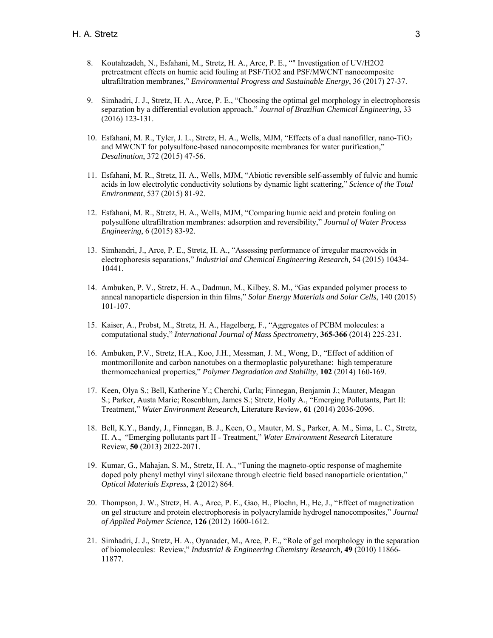- 8. Koutahzadeh, N., Esfahani, M., Stretz, H. A., Arce, P. E., "" Investigation of UV/H2O2 pretreatment effects on humic acid fouling at PSF/TiO2 and PSF/MWCNT nanocomposite ultrafiltration membranes," *Environmental Progress and Sustainable Energy*, 36 (2017) 27-37.
- 9. Simhadri, J. J., Stretz, H. A., Arce, P. E., "Choosing the optimal gel morphology in electrophoresis separation by a differential evolution approach," *Journal of Brazilian Chemical Engineering*, 33 (2016) 123-131.
- 10. Esfahani, M. R., Tyler, J. L., Stretz, H. A., Wells, MJM, "Effects of a dual nanofiller, nano-TiO2 and MWCNT for polysulfone-based nanocomposite membranes for water purification," *Desalination*, 372 (2015) 47-56.
- 11. Esfahani, M. R., Stretz, H. A., Wells, MJM, "Abiotic reversible self-assembly of fulvic and humic acids in low electrolytic conductivity solutions by dynamic light scattering," *Science of the Total Environment*, 537 (2015) 81-92.
- 12. Esfahani, M. R., Stretz, H. A., Wells, MJM, "Comparing humic acid and protein fouling on polysulfone ultrafiltration membranes: adsorption and reversibility," *Journal of Water Process Engineering*, 6 (2015) 83-92.
- 13. Simhandri, J., Arce, P. E., Stretz, H. A., "Assessing performance of irregular macrovoids in electrophoresis separations," *Industrial and Chemical Engineering Research,* 54 (2015) 10434- 10441.
- 14. Ambuken, P. V., Stretz, H. A., Dadmun, M., Kilbey, S. M., "Gas expanded polymer process to anneal nanoparticle dispersion in thin films," *Solar Energy Materials and Solar Cells*, 140 (2015) 101-107.
- 15. Kaiser, A., Probst, M., Stretz, H. A., Hagelberg, F., "Aggregates of PCBM molecules: a computational study," *International Journal of Mass Spectrometry,* **365-366** (2014) 225-231.
- 16. Ambuken, P.V., Stretz, H.A., Koo, J.H., Messman, J. M., Wong, D., "Effect of addition of montmorillonite and carbon nanotubes on a thermoplastic polyurethane: high temperature thermomechanical properties," *Polymer Degradation and Stability*, **102** (2014) 160-169.
- 17. Keen, Olya S.; Bell, Katherine Y.; Cherchi, Carla; Finnegan, Benjamin J.; Mauter, Meagan S.; Parker, Austa Marie; Rosenblum, James S.; Stretz, Holly A., "Emerging Pollutants, Part II: Treatment," *Water Environment Research*, Literature Review, **61** (2014) 2036-2096.
- 18. Bell, K.Y., Bandy, J., Finnegan, B. J., Keen, O., Mauter, M. S., Parker, A. M., Sima, L. C., Stretz, H. A., "Emerging pollutants part II - Treatment," *Water Environment Research* Literature Review, **50** (2013) 2022-2071.
- 19. Kumar, G., Mahajan, S. M., Stretz, H. A., "Tuning the magneto-optic response of maghemite doped poly phenyl methyl vinyl siloxane through electric field based nanoparticle orientation," *Optical Materials Express*, **2** (2012) 864.
- 20. Thompson, J. W., Stretz, H. A., Arce, P. E., Gao, H., Ploehn, H., He, J., "Effect of magnetization on gel structure and protein electrophoresis in polyacrylamide hydrogel nanocomposites," *Journal of Applied Polymer Science,* **126** (2012) 1600-1612.
- 21. Simhadri, J. J., Stretz, H. A., Oyanader, M., Arce, P. E., "Role of gel morphology in the separation of biomolecules: Review," *Industrial & Engineering Chemistry Research,* **49** (2010) 11866- 11877.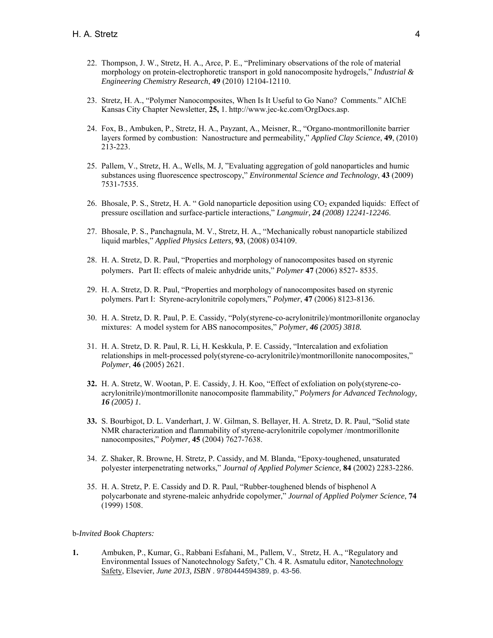- 22. Thompson, J. W., Stretz, H. A., Arce, P. E., "Preliminary observations of the role of material morphology on protein-electrophoretic transport in gold nanocomposite hydrogels," *Industrial & Engineering Chemistry Research*, **49** (2010) 12104-12110.
- 23. Stretz, H. A., "Polymer Nanocomposites, When Is It Useful to Go Nano? Comments." AIChE Kansas City Chapter Newsletter, **25,** 1. http://www.jec-kc.com/OrgDocs.asp.
- 24. Fox, B., Ambuken, P., Stretz, H. A., Payzant, A., Meisner, R., "Organo-montmorillonite barrier layers formed by combustion: Nanostructure and permeability," *Applied Clay Science*, **49**, (2010) 213-223.
- 25. Pallem, V., Stretz, H. A., Wells, M. J, "Evaluating aggregation of gold nanoparticles and humic substances using fluorescence spectroscopy," *Environmental Science and Technology*, **43** (2009) 7531-7535.
- 26. Bhosale, P. S., Stretz, H. A. "Gold nanoparticle deposition using  $CO<sub>2</sub>$  expanded liquids: Effect of pressure oscillation and surface-particle interactions," *Langmuir, 24 (2008) 12241-12246*.
- 27. Bhosale, P. S., Panchagnula, M. V., Stretz, H. A., "Mechanically robust nanoparticle stabilized liquid marbles," *Applied Physics Letters,* **93**, (2008) 034109.
- 28. H. A. Stretz, D. R. Paul, "Properties and morphology of nanocomposites based on styrenic polymers. Part II: effects of maleic anhydride units," *Polymer* **47** (2006) 8527- 8535.
- 29. H. A. Stretz, D. R. Paul, "Properties and morphology of nanocomposites based on styrenic polymers. Part I: Styrene-acrylonitrile copolymers," *Polymer*, **47** (2006) 8123-8136.
- 30. H. A. Stretz, D. R. Paul, P. E. Cassidy, "Poly(styrene-co-acrylonitrile)/montmorillonite organoclay mixtures: A model system for ABS nanocomposites," *Polymer, 46 (2005) 3818.*
- 31. H. A. Stretz, D. R. Paul, R. Li, H. Keskkula, P. E. Cassidy, "Intercalation and exfoliation relationships in melt-processed poly(styrene-co-acrylonitrile)/montmorillonite nanocomposites," *Polymer*, **46** (2005) 2621.
- **32.** H. A. Stretz, W. Wootan, P. E. Cassidy, J. H. Koo, "Effect of exfoliation on poly(styrene-coacrylonitrile)/montmorillonite nanocomposite flammability," *Polymers for Advanced Technology, 16 (2005) 1.*
- **33.** S. Bourbigot, D. L. Vanderhart, J. W. Gilman, S. Bellayer, H. A. Stretz, D. R. Paul, "Solid state NMR characterization and flammability of styrene-acrylonitrile copolymer /montmorillonite nanocomposites," *Polymer,* **45** (2004) 7627-7638.
- 34. Z. Shaker, R. Browne, H. Stretz, P. Cassidy, and M. Blanda, "Epoxy-toughened, unsaturated polyester interpenetrating networks," *Journal of Applied Polymer Science,* **84** (2002) 2283-2286.
- 35. H. A. Stretz, P. E. Cassidy and D. R. Paul, "Rubber-toughened blends of bisphenol A polycarbonate and styrene-maleic anhydride copolymer," *Journal of Applied Polymer Science*, **74** (1999) 1508.

#### b-*Invited Book Chapters:*

**1.** Ambuken, P., Kumar, G., Rabbani Esfahani, M., Pallem, V., Stretz, H. A., "Regulatory and Environmental Issues of Nanotechnology Safety," Ch. 4 R. Asmatulu editor, Nanotechnology Safety, Elsevier, *June 2013, ISBN* . 9780444594389, p. 43-56.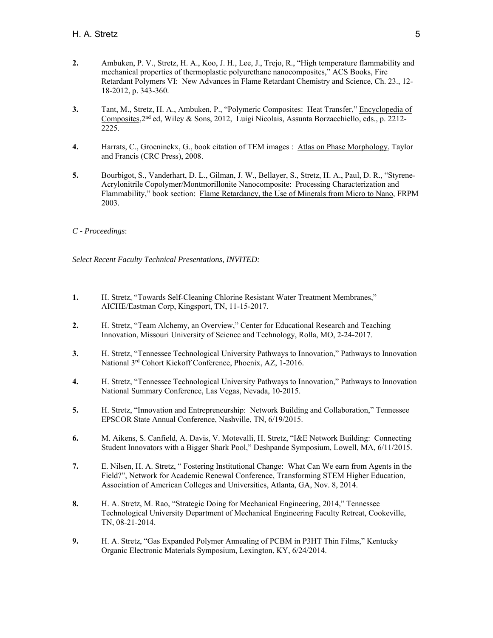- **2.** Ambuken, P. V., Stretz, H. A., Koo, J. H., Lee, J., Trejo, R., "High temperature flammability and mechanical properties of thermoplastic polyurethane nanocomposites," ACS Books, Fire Retardant Polymers VI: New Advances in Flame Retardant Chemistry and Science, Ch. 23., 12- 18-2012, p. 343-360.
- **3.** Tant, M., Stretz, H. A., Ambuken, P., "Polymeric Composites: Heat Transfer," Encyclopedia of Composites,  $2<sup>nd</sup>$  ed, Wiley & Sons, 2012, Luigi Nicolais, Assunta Borzacchiello, eds., p. 2212-2225.
- **4.** Harrats, C., Groeninckx, G., book citation of TEM images : Atlas on Phase Morphology, Taylor and Francis (CRC Press), 2008.
- **5.** Bourbigot, S., Vanderhart, D. L., Gilman, J. W., Bellayer, S., Stretz, H. A., Paul, D. R., "Styrene-Acrylonitrile Copolymer/Montmorillonite Nanocomposite: Processing Characterization and Flammability," book section: Flame Retardancy, the Use of Minerals from Micro to Nano, FRPM 2003.

## *C - Proceedings*:

*Select Recent Faculty Technical Presentations, INVITED:* 

- **1.** H. Stretz, "Towards Self-Cleaning Chlorine Resistant Water Treatment Membranes," AICHE/Eastman Corp, Kingsport, TN, 11-15-2017.
- **2.** H. Stretz, "Team Alchemy, an Overview," Center for Educational Research and Teaching Innovation, Missouri University of Science and Technology, Rolla, MO, 2-24-2017.
- **3.** H. Stretz, "Tennessee Technological University Pathways to Innovation," Pathways to Innovation National 3rd Cohort Kickoff Conference, Phoenix, AZ, 1-2016.
- **4.** H. Stretz, "Tennessee Technological University Pathways to Innovation," Pathways to Innovation National Summary Conference, Las Vegas, Nevada, 10-2015.
- **5.** H. Stretz, "Innovation and Entrepreneurship: Network Building and Collaboration," Tennessee EPSCOR State Annual Conference, Nashville, TN, 6/19/2015.
- **6.** M. Aikens, S. Canfield, A. Davis, V. Motevalli, H. Stretz, "I&E Network Building: Connecting Student Innovators with a Bigger Shark Pool," Deshpande Symposium, Lowell, MA, 6/11/2015.
- **7.** E. Nilsen, H. A. Stretz, " Fostering Institutional Change: What Can We earn from Agents in the Field?", Network for Academic Renewal Conference, Transforming STEM Higher Education, Association of American Colleges and Universities, Atlanta, GA, Nov. 8, 2014.
- **8.** H. A. Stretz, M. Rao, "Strategic Doing for Mechanical Engineering, 2014," Tennessee Technological University Department of Mechanical Engineering Faculty Retreat, Cookeville, TN, 08-21-2014.
- **9.** H. A. Stretz, "Gas Expanded Polymer Annealing of PCBM in P3HT Thin Films," Kentucky Organic Electronic Materials Symposium, Lexington, KY, 6/24/2014.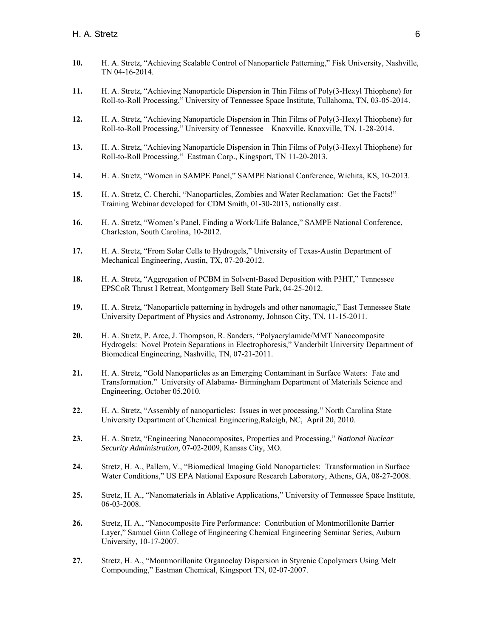- **10.** H. A. Stretz, "Achieving Scalable Control of Nanoparticle Patterning," Fisk University, Nashville, TN 04-16-2014.
- **11.** H. A. Stretz, "Achieving Nanoparticle Dispersion in Thin Films of Poly(3-Hexyl Thiophene) for Roll-to-Roll Processing," University of Tennessee Space Institute, Tullahoma, TN, 03-05-2014.
- **12.** H. A. Stretz, "Achieving Nanoparticle Dispersion in Thin Films of Poly(3-Hexyl Thiophene) for Roll-to-Roll Processing," University of Tennessee – Knoxville, Knoxville, TN, 1-28-2014.
- **13.** H. A. Stretz, "Achieving Nanoparticle Dispersion in Thin Films of Poly(3-Hexyl Thiophene) for Roll-to-Roll Processing," Eastman Corp., Kingsport, TN 11-20-2013.
- **14.** H. A. Stretz, "Women in SAMPE Panel," SAMPE National Conference, Wichita, KS, 10-2013.
- **15.** H. A. Stretz, C. Cherchi, "Nanoparticles, Zombies and Water Reclamation: Get the Facts!" Training Webinar developed for CDM Smith, 01-30-2013, nationally cast.
- 16. H. A. Stretz, "Women's Panel, Finding a Work/Life Balance," SAMPE National Conference, Charleston, South Carolina, 10-2012.
- **17.** H. A. Stretz, "From Solar Cells to Hydrogels," University of Texas-Austin Department of Mechanical Engineering, Austin, TX, 07-20-2012.
- 18. H. A. Stretz, "Aggregation of PCBM in Solvent-Based Deposition with P3HT," Tennessee EPSCoR Thrust I Retreat, Montgomery Bell State Park, 04-25-2012.
- **19.** H. A. Stretz, "Nanoparticle patterning in hydrogels and other nanomagic," East Tennessee State University Department of Physics and Astronomy, Johnson City, TN, 11-15-2011.
- **20.** H. A. Stretz, P. Arce, J. Thompson, R. Sanders, "Polyacrylamide/MMT Nanocomposite Hydrogels: Novel Protein Separations in Electrophoresis," Vanderbilt University Department of Biomedical Engineering, Nashville, TN, 07-21-2011.
- **21.** H. A. Stretz, "Gold Nanoparticles as an Emerging Contaminant in Surface Waters: Fate and Transformation." University of Alabama- Birmingham Department of Materials Science and Engineering, October 05,2010.
- **22.** H. A. Stretz, "Assembly of nanoparticles: Issues in wet processing." North Carolina State University Department of Chemical Engineering,Raleigh, NC, April 20, 2010.
- **23.** H. A. Stretz, "Engineering Nanocomposites, Properties and Processing," *National Nuclear Security Administration,* 07-02-2009, Kansas City, MO.
- **24.** Stretz, H. A., Pallem, V., "Biomedical Imaging Gold Nanoparticles: Transformation in Surface Water Conditions," US EPA National Exposure Research Laboratory, Athens, GA, 08-27-2008.
- **25.** Stretz, H. A., "Nanomaterials in Ablative Applications," University of Tennessee Space Institute, 06-03-2008.
- **26.** Stretz, H. A., "Nanocomposite Fire Performance: Contribution of Montmorillonite Barrier Layer," Samuel Ginn College of Engineering Chemical Engineering Seminar Series, Auburn University, 10-17-2007.
- **27.** Stretz, H. A., "Montmorillonite Organoclay Dispersion in Styrenic Copolymers Using Melt Compounding," Eastman Chemical, Kingsport TN, 02-07-2007.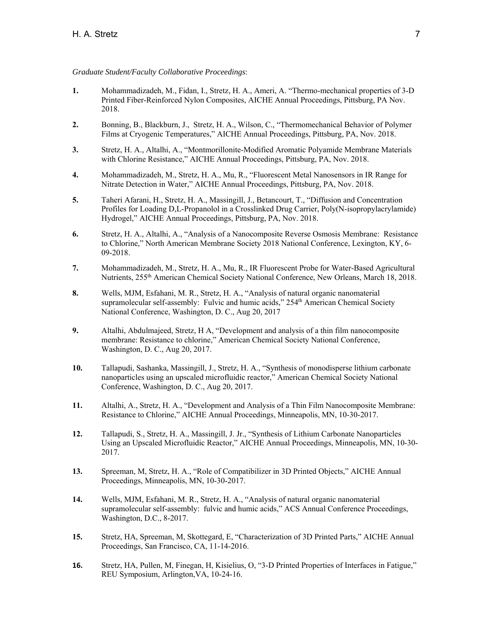#### *Graduate Student/Faculty Collaborative Proceedings*:

- **1.** Mohammadizadeh, M., Fidan, I., Stretz, H. A., Ameri, A. "Thermo-mechanical properties of 3-D Printed Fiber-Reinforced Nylon Composites, AICHE Annual Proceedings, Pittsburg, PA Nov. 2018.
- **2.** Bonning, B., Blackburn, J., Stretz, H. A., Wilson, C., "Thermomechanical Behavior of Polymer Films at Cryogenic Temperatures," AICHE Annual Proceedings, Pittsburg, PA, Nov. 2018.
- **3.** Stretz, H. A., Altalhi, A., "Montmorillonite-Modified Aromatic Polyamide Membrane Materials with Chlorine Resistance," AICHE Annual Proceedings, Pittsburg, PA, Nov. 2018.
- **4.** Mohammadizadeh, M., Stretz, H. A., Mu, R., "Fluorescent Metal Nanosensors in IR Range for Nitrate Detection in Water," AICHE Annual Proceedings, Pittsburg, PA, Nov. 2018.
- **5.** Taheri Afarani, H., Stretz, H. A., Massingill, J., Betancourt, T., "Diffusion and Concentration Profiles for Loading D,L-Propanolol in a Crosslinked Drug Carrier, Poly(N-isopropylacrylamide) Hydrogel," AICHE Annual Proceedings, Pittsburg, PA, Nov. 2018.
- **6.** Stretz, H. A., Altalhi, A., "Analysis of a Nanocomposite Reverse Osmosis Membrane: Resistance to Chlorine," North American Membrane Society 2018 National Conference, Lexington, KY, 6- 09-2018.
- **7.** Mohammadizadeh, M., Stretz, H. A., Mu, R., IR Fluorescent Probe for Water-Based Agricultural Nutrients, 255th American Chemical Society National Conference, New Orleans, March 18, 2018.
- **8.** Wells, MJM, Esfahani, M. R., Stretz, H. A., "Analysis of natural organic nanomaterial supramolecular self-assembly: Fulvic and humic acids," 254<sup>th</sup> American Chemical Society National Conference, Washington, D. C., Aug 20, 2017
- **9.** Altalhi, Abdulmajeed, Stretz, H A, "Development and analysis of a thin film nanocomposite membrane: Resistance to chlorine," American Chemical Society National Conference, Washington, D. C., Aug 20, 2017.
- **10.** Tallapudi, Sashanka, Massingill, J., Stretz, H. A., "Synthesis of monodisperse lithium carbonate nanoparticles using an upscaled microfluidic reactor," American Chemical Society National Conference, Washington, D. C., Aug 20, 2017.
- **11.** Altalhi, A., Stretz, H. A., "Development and Analysis of a Thin Film Nanocomposite Membrane: Resistance to Chlorine," AICHE Annual Proceedings, Minneapolis, MN, 10-30-2017.
- **12.** Tallapudi, S., Stretz, H. A., Massingill, J. Jr., "Synthesis of Lithium Carbonate Nanoparticles Using an Upscaled Microfluidic Reactor," AICHE Annual Proceedings, Minneapolis, MN, 10-30- 2017.
- **13.** Spreeman, M, Stretz, H. A., "Role of Compatibilizer in 3D Printed Objects," AICHE Annual Proceedings, Minneapolis, MN, 10-30-2017.
- **14.** Wells, MJM, Esfahani, M. R., Stretz, H. A., "Analysis of natural organic nanomaterial supramolecular self-assembly: fulvic and humic acids," ACS Annual Conference Proceedings, Washington, D.C., 8-2017.
- **15.** Stretz, HA, Spreeman, M, Skottegard, E, "Characterization of 3D Printed Parts," AICHE Annual Proceedings, San Francisco, CA, 11-14-2016.
- **16.** Stretz, HA, Pullen, M, Finegan, H, Kisielius, O, "3-D Printed Properties of Interfaces in Fatigue," REU Symposium, Arlington,VA, 10-24-16.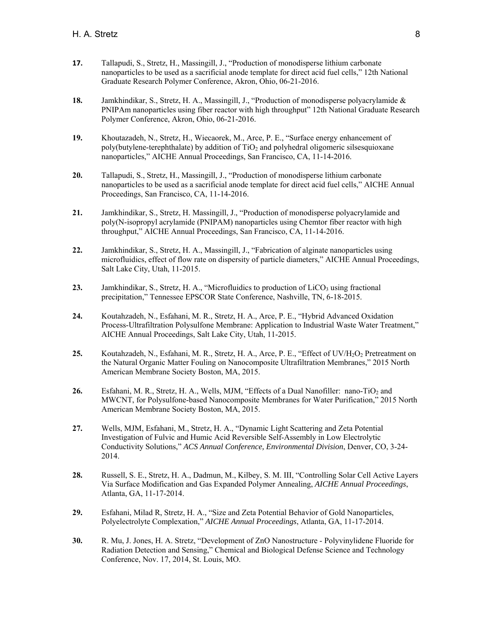- **17.** Tallapudi, S., Stretz, H., Massingill, J., "Production of monodisperse lithium carbonate nanoparticles to be used as a sacrificial anode template for direct acid fuel cells," 12th National Graduate Research Polymer Conference, Akron, Ohio, 06-21-2016.
- **18.** Jamkhindikar, S., Stretz, H. A., Massingill, J., "Production of monodisperse polyacrylamide & PNIPAm nanoparticles using fiber reactor with high throughput" 12th National Graduate Research Polymer Conference, Akron, Ohio, 06-21-2016.
- **19.** Khoutazadeh, N., Stretz, H., Wiecaorek, M., Arce, P. E., "Surface energy enhancement of poly(butylene-terephthalate) by addition of  $TiO<sub>2</sub>$  and polyhedral oligomeric silsesquioxane nanoparticles," AICHE Annual Proceedings, San Francisco, CA, 11-14-2016.
- **20.** Tallapudi, S., Stretz, H., Massingill, J., "Production of monodisperse lithium carbonate nanoparticles to be used as a sacrificial anode template for direct acid fuel cells," AICHE Annual Proceedings, San Francisco, CA, 11-14-2016.
- **21.** Jamkhindikar, S., Stretz, H. Massingill, J., "Production of monodisperse polyacrylamide and poly(N-isopropyl acrylamide (PNIPAM) nanoparticles using Chemtor fiber reactor with high throughput," AICHE Annual Proceedings, San Francisco, CA, 11-14-2016.
- **22.** Jamkhindikar, S., Stretz, H. A., Massingill, J., "Fabrication of alginate nanoparticles using microfluidics, effect of flow rate on dispersity of particle diameters," AICHE Annual Proceedings, Salt Lake City, Utah, 11-2015.
- 23. Jamkhindikar, S., Stretz, H. A., "Microfluidics to production of LiCO<sub>3</sub> using fractional precipitation," Tennessee EPSCOR State Conference, Nashville, TN, 6-18-2015.
- **24.** Koutahzadeh, N., Esfahani, M. R., Stretz, H. A., Arce, P. E., "Hybrid Advanced Oxidation Process-Ultrafiltration Polysulfone Membrane: Application to Industrial Waste Water Treatment," AICHE Annual Proceedings, Salt Lake City, Utah, 11-2015.
- 25. Koutahzadeh, N., Esfahani, M. R., Stretz, H. A., Arce, P. E., "Effect of UV/H<sub>2</sub>O<sub>2</sub> Pretreatment on the Natural Organic Matter Fouling on Nanocomposite Ultrafiltration Membranes," 2015 North American Membrane Society Boston, MA, 2015.
- 26. Esfahani, M. R., Stretz, H. A., Wells, MJM, "Effects of a Dual Nanofiller: nano-TiO<sub>2</sub> and MWCNT, for Polysulfone-based Nanocomposite Membranes for Water Purification," 2015 North American Membrane Society Boston, MA, 2015.
- **27.** Wells, MJM, Esfahani, M., Stretz, H. A., "Dynamic Light Scattering and Zeta Potential Investigation of Fulvic and Humic Acid Reversible Self-Assembly in Low Electrolytic Conductivity Solutions," *ACS Annual Conference, Environmental Division*, Denver, CO, 3-24- 2014.
- **28.** Russell, S. E., Stretz, H. A., Dadmun, M., Kilbey, S. M. III, "Controlling Solar Cell Active Layers Via Surface Modification and Gas Expanded Polymer Annealing, *AICHE Annual Proceedings*, Atlanta, GA, 11-17-2014.
- **29.** Esfahani, Milad R, Stretz, H. A., "Size and Zeta Potential Behavior of Gold Nanoparticles, Polyelectrolyte Complexation," *AICHE Annual Proceedings*, Atlanta, GA, 11-17-2014.
- **30.** R. Mu, J. Jones, H. A. Stretz, "Development of ZnO Nanostructure Polyvinylidene Fluoride for Radiation Detection and Sensing," Chemical and Biological Defense Science and Technology Conference, Nov. 17, 2014, St. Louis, MO.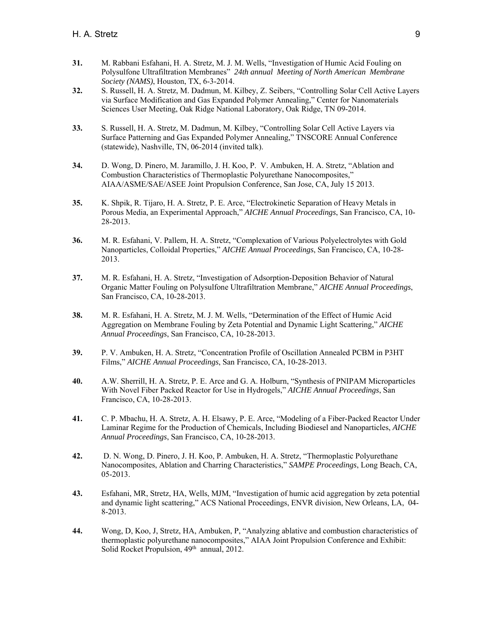- **31.** M. Rabbani Esfahani, H. A. Stretz, M. J. M. Wells, "Investigation of Humic Acid Fouling on Polysulfone Ultrafiltration Membranes" *24th annual Meeting of North American Membrane Society (NAMS)*, Houston, TX, 6-3-2014.
- **32.** S. Russell, H. A. Stretz, M. Dadmun, M. Kilbey, Z. Seibers, "Controlling Solar Cell Active Layers via Surface Modification and Gas Expanded Polymer Annealing," Center for Nanomaterials Sciences User Meeting, Oak Ridge National Laboratory, Oak Ridge, TN 09-2014.
- **33.** S. Russell, H. A. Stretz, M. Dadmun, M. Kilbey, "Controlling Solar Cell Active Layers via Surface Patterning and Gas Expanded Polymer Annealing," TNSCORE Annual Conference (statewide), Nashville, TN, 06-2014 (invited talk).
- **34.** D. Wong, D. Pinero, M. Jaramillo, J. H. Koo, P. V. Ambuken, H. A. Stretz, "Ablation and Combustion Characteristics of Thermoplastic Polyurethane Nanocomposites," AIAA/ASME/SAE/ASEE Joint Propulsion Conference, San Jose, CA, July 15 2013.
- **35.** K. Shpik, R. Tijaro, H. A. Stretz, P. E. Arce, "Electrokinetic Separation of Heavy Metals in Porous Media, an Experimental Approach," *AICHE Annual Proceedings*, San Francisco, CA, 10- 28-2013.
- **36.** M. R. Esfahani, V. Pallem, H. A. Stretz, "Complexation of Various Polyelectrolytes with Gold Nanoparticles, Colloidal Properties," *AICHE Annual Proceedings*, San Francisco, CA, 10-28- 2013.
- **37.** M. R. Esfahani, H. A. Stretz, "Investigation of Adsorption-Deposition Behavior of Natural Organic Matter Fouling on Polysulfone Ultrafiltration Membrane," *AICHE Annual Proceedings*, San Francisco, CA, 10-28-2013.
- **38.** M. R. Esfahani, H. A. Stretz, M. J. M. Wells, "Determination of the Effect of Humic Acid Aggregation on Membrane Fouling by Zeta Potential and Dynamic Light Scattering," *AICHE Annual Proceedings*, San Francisco, CA, 10-28-2013.
- **39.** P. V. Ambuken, H. A. Stretz, "Concentration Profile of Oscillation Annealed PCBM in P3HT Films," *AICHE Annual Proceedings*, San Francisco, CA, 10-28-2013.
- **40.** A.W. Sherrill, H. A. Stretz, P. E. Arce and G. A. Holburn, "Synthesis of PNIPAM Microparticles With Novel Fiber Packed Reactor for Use in Hydrogels," *AICHE Annual Proceedings*, San Francisco, CA, 10-28-2013.
- **41.** C. P. Mbachu, H. A. Stretz, A. H. Elsawy, P. E. Arce, "Modeling of a Fiber-Packed Reactor Under Laminar Regime for the Production of Chemicals, Including Biodiesel and Nanoparticles, *AICHE Annual Proceedings*, San Francisco, CA, 10-28-2013.
- **42.** D. N. Wong, D. Pinero, J. H. Koo, P. Ambuken, H. A. Stretz, "Thermoplastic Polyurethane Nanocomposites, Ablation and Charring Characteristics," *SAMPE Proceedings*, Long Beach, CA, 05-2013.
- **43.** Esfahani, MR, Stretz, HA, Wells, MJM, "Investigation of humic acid aggregation by zeta potential and dynamic light scattering," ACS National Proceedings, ENVR division, New Orleans, LA, 04- 8-2013.
- **44.** Wong, D, Koo, J, Stretz, HA, Ambuken, P, "Analyzing ablative and combustion characteristics of thermoplastic polyurethane nanocomposites," AIAA Joint Propulsion Conference and Exhibit: Solid Rocket Propulsion, 49<sup>th</sup> annual, 2012.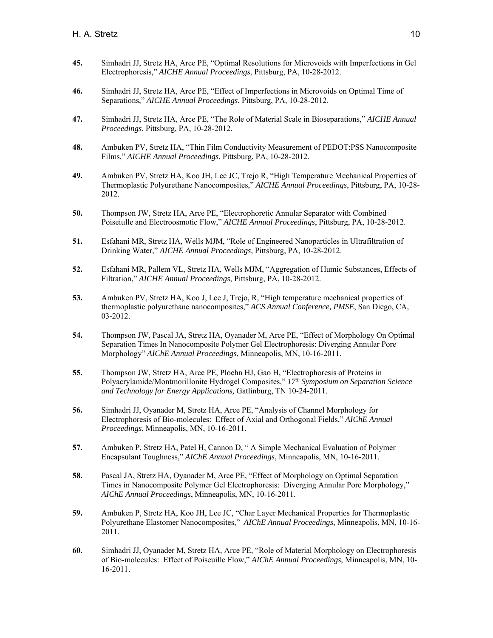- **45.** Simhadri JJ, Stretz HA, Arce PE, "Optimal Resolutions for Microvoids with Imperfections in Gel Electrophoresis," *AICHE Annual Proceedings*, Pittsburg, PA, 10-28-2012.
- **46.** Simhadri JJ, Stretz HA, Arce PE, "Effect of Imperfections in Microvoids on Optimal Time of Separations," *AICHE Annual Proceedings*, Pittsburg, PA, 10-28-2012.
- **47.** Simhadri JJ, Stretz HA, Arce PE, "The Role of Material Scale in Bioseparations," *AICHE Annual Proceedings*, Pittsburg, PA, 10-28-2012.
- **48.** Ambuken PV, Stretz HA, "Thin Film Conductivity Measurement of PEDOT:PSS Nanocomposite Films," *AICHE Annual Proceedings*, Pittsburg, PA, 10-28-2012.
- **49.** Ambuken PV, Stretz HA, Koo JH, Lee JC, Trejo R, "High Temperature Mechanical Properties of Thermoplastic Polyurethane Nanocomposites," *AICHE Annual Proceedings*, Pittsburg, PA, 10-28- 2012.
- **50.** Thompson JW, Stretz HA, Arce PE, "Electrophoretic Annular Separator with Combined Poiseiulle and Electroosmotic Flow," *AICHE Annual Proceedings*, Pittsburg, PA, 10-28-2012.
- **51.** Esfahani MR, Stretz HA, Wells MJM, "Role of Engineered Nanoparticles in Ultrafiltration of Drinking Water," *AICHE Annual Proceedings*, Pittsburg, PA, 10-28-2012.
- **52.** Esfahani MR, Pallem VL, Stretz HA, Wells MJM, "Aggregation of Humic Substances, Effects of Filtration," *AICHE Annual Proceedings*, Pittsburg, PA, 10-28-2012.
- **53.** Ambuken PV, Stretz HA, Koo J, Lee J, Trejo, R, "High temperature mechanical properties of thermoplastic polyurethane nanocomposites," *ACS Annual Conference, PMSE*, San Diego, CA, 03-2012.
- **54.** Thompson JW, Pascal JA, Stretz HA, Oyanader M, Arce PE, "Effect of Morphology On Optimal Separation Times In Nanocomposite Polymer Gel Electrophoresis: Diverging Annular Pore Morphology" *AIChE Annual Proceedings*, Minneapolis, MN, 10-16-2011.
- **55.** Thompson JW, Stretz HA, Arce PE, Ploehn HJ, Gao H, "Electrophoresis of Proteins in Polyacrylamide/Montmorillonite Hydrogel Composites," *17th Symposium on Separation Science and Technology for Energy Applications,* Gatlinburg, TN 10-24-2011.
- **56.** Simhadri JJ, Oyanader M, Stretz HA, Arce PE, "Analysis of Channel Morphology for Electrophoresis of Bio-molecules: Effect of Axial and Orthogonal Fields," *AIChE Annual Proceedings*, Minneapolis, MN, 10-16-2011.
- **57.** Ambuken P, Stretz HA, Patel H, Cannon D, " A Simple Mechanical Evaluation of Polymer Encapsulant Toughness," *AIChE Annual Proceedings*, Minneapolis, MN, 10-16-2011.
- **58.** Pascal JA, Stretz HA, Oyanader M, Arce PE, "Effect of Morphology on Optimal Separation Times in Nanocomposite Polymer Gel Electrophoresis: Diverging Annular Pore Morphology," *AIChE Annual Proceedings*, Minneapolis, MN, 10-16-2011.
- **59.** Ambuken P, Stretz HA, Koo JH, Lee JC, "Char Layer Mechanical Properties for Thermoplastic Polyurethane Elastomer Nanocomposites," *AIChE Annual Proceedings*, Minneapolis, MN, 10-16- 2011.
- **60.** Simhadri JJ, Oyanader M, Stretz HA, Arce PE, "Role of Material Morphology on Electrophoresis of Bio-molecules: Effect of Poiseuille Flow," *AIChE Annual Proceedings*, Minneapolis, MN, 10- 16-2011.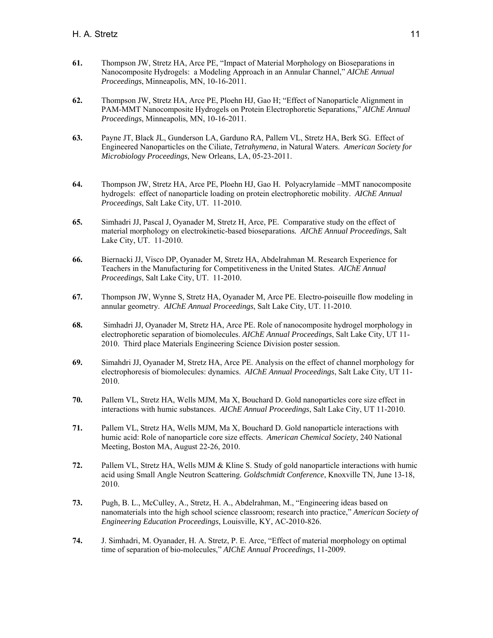- **61.** Thompson JW, Stretz HA, Arce PE, "Impact of Material Morphology on Bioseparations in Nanocomposite Hydrogels: a Modeling Approach in an Annular Channel," *AIChE Annual Proceedings*, Minneapolis, MN, 10-16-2011.
- **62.** Thompson JW, Stretz HA, Arce PE, Ploehn HJ, Gao H; "Effect of Nanoparticle Alignment in PAM-MMT Nanocomposite Hydrogels on Protein Electrophoretic Separations," *AIChE Annual Proceedings*, Minneapolis, MN, 10-16-2011.
- **63.** Payne JT, Black JL, Gunderson LA, Garduno RA, Pallem VL, Stretz HA, Berk SG. Effect of Engineered Nanoparticles on the Ciliate, *Tetrahymena*, in Natural Waters. *American Society for Microbiology Proceedings,* New Orleans, LA, 05-23-2011.
- **64.** Thompson JW, Stretz HA, Arce PE, Ploehn HJ, Gao H. Polyacrylamide –MMT nanocomposite hydrogels: effect of nanoparticle loading on protein electrophoretic mobility. *AIChE Annual Proceedings*, Salt Lake City, UT. 11-2010.
- **65.** Simhadri JJ, Pascal J, Oyanader M, Stretz H, Arce, PE. Comparative study on the effect of material morphology on electrokinetic-based bioseparations*. AIChE Annual Proceedings*, Salt Lake City, UT. 11-2010.
- **66.** Biernacki JJ, Visco DP, Oyanader M, Stretz HA, Abdelrahman M. Research Experience for Teachers in the Manufacturing for Competitiveness in the United States. *AIChE Annual Proceedings*, Salt Lake City, UT. 11-2010.
- **67.** Thompson JW, Wynne S, Stretz HA, Oyanader M, Arce PE. Electro-poiseuille flow modeling in annular geometry. *AIChE Annual Proceedings*, Salt Lake City, UT. 11-2010.
- **68.** Simhadri JJ, Oyanader M, Stretz HA, Arce PE. Role of nanocomposite hydrogel morphology in electrophoretic separation of biomolecules. *AIChE Annual Proceedings*, Salt Lake City, UT 11- 2010. Third place Materials Engineering Science Division poster session.
- **69.** Simahdri JJ, Oyanader M, Stretz HA, Arce PE. Analysis on the effect of channel morphology for electrophoresis of biomolecules: dynamics. *AIChE Annual Proceedings*, Salt Lake City, UT 11- 2010.
- **70.** Pallem VL, Stretz HA, Wells MJM, Ma X, Bouchard D. Gold nanoparticles core size effect in interactions with humic substances. *AIChE Annual Proceedings*, Salt Lake City, UT 11-2010.
- **71.** Pallem VL, Stretz HA, Wells MJM, Ma X, Bouchard D. Gold nanoparticle interactions with humic acid: Role of nanoparticle core size effects. *American Chemical Society*, 240 National Meeting, Boston MA, August 22-26, 2010.
- **72.** Pallem VL, Stretz HA, Wells MJM & Kline S. Study of gold nanoparticle interactions with humic acid using Small Angle Neutron Scattering*. Goldschmidt Conference*, Knoxville TN, June 13-18, 2010.
- **73.** Pugh, B. L., McCulley, A., Stretz, H. A., Abdelrahman, M., "Engineering ideas based on nanomaterials into the high school science classroom; research into practice," *American Society of Engineering Education Proceedings*, Louisville, KY, AC-2010-826.
- **74.** J. Simhadri, M. Oyanader, H. A. Stretz, P. E. Arce, "Effect of material morphology on optimal time of separation of bio-molecules," *AIChE Annual Proceedings*, 11-2009.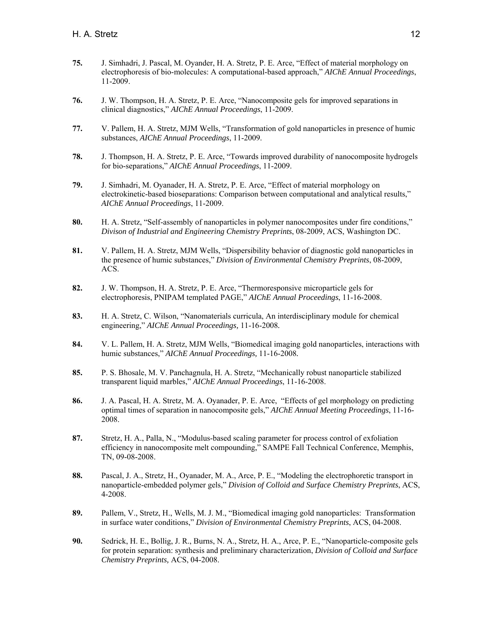- **75.** J. Simhadri, J. Pascal, M. Oyander, H. A. Stretz, P. E. Arce, "Effect of material morphology on electrophoresis of bio-molecules: A computational-based approach," *AIChE Annual Proceedings*, 11-2009.
- **76.** J. W. Thompson, H. A. Stretz, P. E. Arce, "Nanocomposite gels for improved separations in clinical diagnostics," *AIChE Annual Proceedings*, 11-2009.
- **77.** V. Pallem, H. A. Stretz, MJM Wells, "Transformation of gold nanoparticles in presence of humic substances, *AIChE Annual Proceedings*, 11-2009.
- **78.** J. Thompson, H. A. Stretz, P. E. Arce, "Towards improved durability of nanocomposite hydrogels for bio-separations," *AIChE Annual Proceedings*, 11-2009.
- **79.** J. Simhadri, M. Oyanader, H. A. Stretz, P. E. Arce, "Effect of material morphology on electrokinetic-based bioseparations: Comparison between computational and analytical results," *AIChE Annual Proceedings*, 11-2009.
- **80.** H. A. Stretz, "Self-assembly of nanoparticles in polymer nanocomposites under fire conditions," *Divison of Industrial and Engineering Chemistry Preprints*, 08-2009, ACS, Washington DC.
- **81.** V. Pallem, H. A. Stretz, MJM Wells, "Dispersibility behavior of diagnostic gold nanoparticles in the presence of humic substances," *Division of Environmental Chemistry Preprints*, 08-2009, ACS.
- **82.** J. W. Thompson, H. A. Stretz, P. E. Arce, "Thermoresponsive microparticle gels for electrophoresis, PNIPAM templated PAGE," *AIChE Annual Proceedings*, 11-16-2008.
- **83.** H. A. Stretz, C. Wilson, "Nanomaterials curricula, An interdisciplinary module for chemical engineering," *AIChE Annual Proceedings,* 11-16-2008*.*
- **84.** V. L. Pallem, H. A. Stretz, MJM Wells, "Biomedical imaging gold nanoparticles, interactions with humic substances," *AIChE Annual Proceedings,* 11-16-2008*.*
- **85.** P. S. Bhosale, M. V. Panchagnula, H. A. Stretz, "Mechanically robust nanoparticle stabilized transparent liquid marbles," *AIChE Annual Proceedings*, 11-16-2008.
- **86.** J. A. Pascal, H. A. Stretz, M. A. Oyanader, P. E. Arce, "Effects of gel morphology on predicting optimal times of separation in nanocomposite gels," *AIChE Annual Meeting Proceedings*, 11-16- 2008.
- **87.** Stretz, H. A., Palla, N., "Modulus-based scaling parameter for process control of exfoliation efficiency in nanocomposite melt compounding," SAMPE Fall Technical Conference, Memphis, TN, 09-08-2008.
- **88.** Pascal, J. A., Stretz, H., Oyanader, M. A., Arce, P. E., "Modeling the electrophoretic transport in nanoparticle-embedded polymer gels," *Division of Colloid and Surface Chemistry Preprints*, ACS, 4-2008.
- **89.** Pallem, V., Stretz, H., Wells, M. J. M., "Biomedical imaging gold nanoparticles: Transformation in surface water conditions," *Division of Environmental Chemistry Preprints*, ACS, 04-2008.
- **90.** Sedrick, H. E., Bollig, J. R., Burns, N. A., Stretz, H. A., Arce, P. E., "Nanoparticle-composite gels for protein separation: synthesis and preliminary characterization, *Division of Colloid and Surface Chemistry Preprints,* ACS, 04-2008.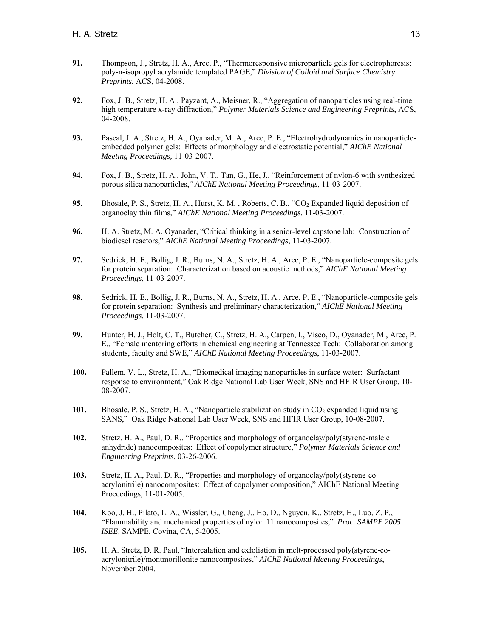- **91.** Thompson, J., Stretz, H. A., Arce, P., "Thermoresponsive microparticle gels for electrophoresis: poly-n-isopropyl acrylamide templated PAGE," *Division of Colloid and Surface Chemistry Preprints*, ACS, 04-2008.
- **92.** Fox, J. B., Stretz, H. A., Payzant, A., Meisner, R., "Aggregation of nanoparticles using real-time high temperature x-ray diffraction," *Polymer Materials Science and Engineering Preprints*, ACS, 04-2008.
- **93.** Pascal, J. A., Stretz, H. A., Oyanader, M. A., Arce, P. E., "Electrohydrodynamics in nanoparticleembedded polymer gels: Effects of morphology and electrostatic potential," *AIChE National Meeting Proceedings,* 11-03-2007.
- **94.** Fox, J. B., Stretz, H. A., John, V. T., Tan, G., He, J., "Reinforcement of nylon-6 with synthesized porous silica nanoparticles," *AIChE National Meeting Proceedings*, 11-03-2007.
- **95.** Bhosale, P. S., Stretz, H. A., Hurst, K. M., Roberts, C. B., "CO<sub>2</sub> Expanded liquid deposition of organoclay thin films," *AIChE National Meeting Proceedings*, 11-03-2007.
- **96.** H. A. Stretz, M. A. Oyanader, "Critical thinking in a senior-level capstone lab: Construction of biodiesel reactors," *AIChE National Meeting Proceedings*, 11-03-2007.
- **97.** Sedrick, H. E., Bollig, J. R., Burns, N. A., Stretz, H. A., Arce, P. E., "Nanoparticle-composite gels for protein separation: Characterization based on acoustic methods," *AIChE National Meeting Proceedings*, 11-03-2007.
- **98.** Sedrick, H. E., Bollig, J. R., Burns, N. A., Stretz, H. A., Arce, P. E., "Nanoparticle-composite gels for protein separation: Synthesis and preliminary characterization," *AIChE National Meeting Proceedings*, 11-03-2007.
- **99.** Hunter, H. J., Holt, C. T., Butcher, C., Stretz, H. A., Carpen, I., Visco, D., Oyanader, M., Arce, P. E., "Female mentoring efforts in chemical engineering at Tennessee Tech: Collaboration among students, faculty and SWE," *AIChE National Meeting Proceedings*, 11-03-2007.
- **100.** Pallem, V. L., Stretz, H. A., "Biomedical imaging nanoparticles in surface water: Surfactant response to environment," Oak Ridge National Lab User Week, SNS and HFIR User Group, 10- 08-2007.
- **101.** Bhosale, P. S., Stretz, H. A., "Nanoparticle stabilization study in CO<sub>2</sub> expanded liquid using SANS," Oak Ridge National Lab User Week, SNS and HFIR User Group, 10-08-2007.
- **102.** Stretz, H. A., Paul, D. R., "Properties and morphology of organoclay/poly(styrene-maleic anhydride) nanocomposites: Effect of copolymer structure," *Polymer Materials Science and Engineering Preprints*, 03-26-2006.
- **103.** Stretz, H. A., Paul, D. R., "Properties and morphology of organoclay/poly(styrene-coacrylonitrile) nanocomposites: Effect of copolymer composition," AIChE National Meeting Proceedings, 11-01-2005.
- **104.** Koo, J. H., Pilato, L. A., Wissler, G., Cheng, J., Ho, D., Nguyen, K., Stretz, H., Luo, Z. P., "Flammability and mechanical properties of nylon 11 nanocomposites," *Proc*. *SAMPE 2005 ISEE,* SAMPE, Covina, CA, 5-2005.
- **105.** H. A. Stretz, D. R. Paul, "Intercalation and exfoliation in melt-processed poly(styrene-coacrylonitrile)/montmorillonite nanocomposites," *AIChE National Meeting Proceedings*, November 2004.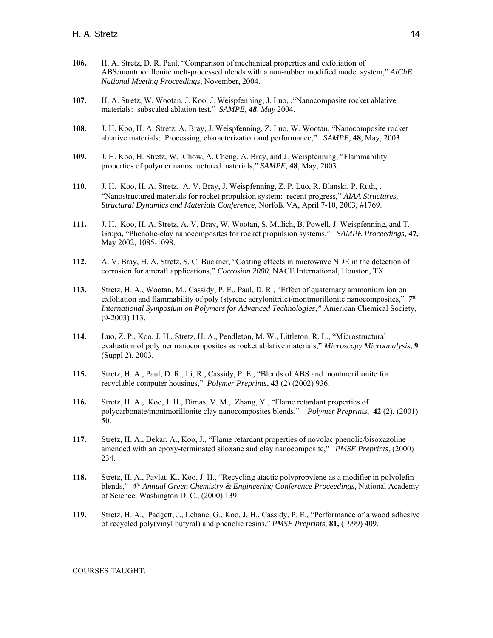- **106.** H. A. Stretz, D. R. Paul, "Comparison of mechanical properties and exfoliation of ABS/montmorillonite melt-processed nlends with a non-rubber modified model system," *AIChE National Meeting Proceedings*, November, 2004.
- **107.** H. A. Stretz, W. Wootan, J. Koo, J. Weispfenning, J. Luo, ,"Nanocomposite rocket ablative materials: subscaled ablation test," *SAMPE, 48, May* 2004.
- **108.** J. H. Koo, H. A. Stretz, A. Bray, J. Weispfenning, Z. Luo, W. Wootan, "Nanocomposite rocket ablative materials: Processing, characterization and performance," *SAMPE*, **48**, May, 2003.
- **109.** J. H. Koo, H. Stretz, W. Chow, A. Cheng, A. Bray, and J. Weispfenning, "Flammability properties of polymer nanostructured materials," *SAMPE,* **48**, May, 2003.
- **110.** J. H. Koo, H. A. Stretz, A. V. Bray, J. Weispfenning, Z. P. Luo, R. Blanski, P. Ruth, . "Nanostructured materials for rocket propulsion system: recent progress," *AIAA Structures, Structural Dynamics and Materials Conference,* Norfolk VA, April 7-10, 2003, #1769.
- **111.** J. H. Koo, H. A. Stretz, A. V. Bray, W. Wootan, S. Mulich, B. Powell, J. Weispfenning, and T. Grupa**,** "Phenolic-clay nanocomposites for rocket propulsion systems," *SAMPE Proceedings,* **47,**  May 2002, 1085-1098.
- **112.** A. V. Bray, H. A. Stretz, S. C. Buckner, "Coating effects in microwave NDE in the detection of corrosion for aircraft applications," *Corrosion 2000*, NACE International, Houston, TX.
- **113.** Stretz, H. A., Wootan, M., Cassidy, P. E., Paul, D. R., "Effect of quaternary ammonium ion on exfoliation and flammability of poly (styrene acrylonitrile)/montmorillonite nanocomposites," *7th International Symposium on Polymers for Advanced Technologies,"* American Chemical Society, (9-2003) 113.
- **114.** Luo, Z. P., Koo, J. H., Stretz, H. A., Pendleton, M. W., Littleton, R. L., "Microstructural evaluation of polymer nanocomposites as rocket ablative materials," *Microscopy Microanalysis*, **9** (Suppl 2), 2003.
- **115.** Stretz, H. A., Paul, D. R., Li, R., Cassidy, P. E., "Blends of ABS and montmorillonite for recyclable computer housings," *Polymer Preprints*, **43** (2) (2002) 936.
- **116.** Stretz, H. A., Koo, J. H., Dimas, V. M., Zhang, Y., "Flame retardant properties of polycarbonate/montmorillonite clay nanocomposites blends," *Polymer Preprints*, **42** (2), (2001) 50.
- **117.** Stretz, H. A., Dekar, A., Koo, J., "Flame retardant properties of novolac phenolic/bisoxazoline amended with an epoxy-terminated siloxane and clay nanocomposite," *PMSE Preprints*, (2000) 234.
- **118.** Stretz, H. A., Pavlat, K., Koo, J. H., "Recycling atactic polypropylene as a modifier in polyolefin blends," *4th Annual Green Chemistry & Engineering Conference Proceedings,* National Academy of Science, Washington D. C., (2000) 139.
- **119.** Stretz, H. A., Padgett, J., Lehane, G., Koo, J. H., Cassidy, P. E., "Performance of a wood adhesive of recycled poly(vinyl butyral) and phenolic resins," *PMSE Preprints,* **81,** (1999) 409.

#### COURSES TAUGHT: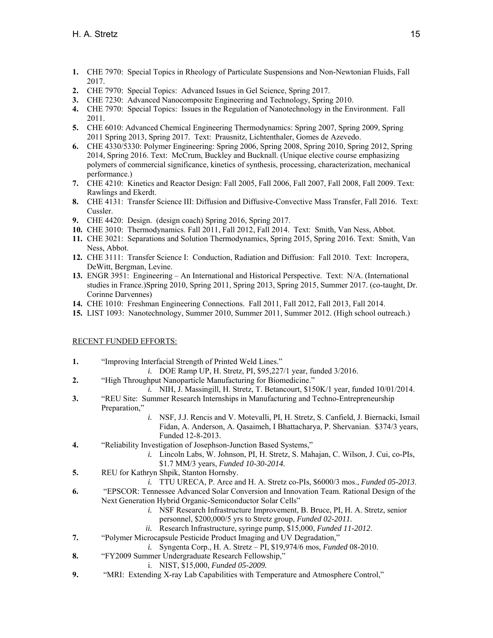- **1.** CHE 7970: Special Topics in Rheology of Particulate Suspensions and Non-Newtonian Fluids, Fall 2017.
- **2.** CHE 7970: Special Topics: Advanced Issues in Gel Science, Spring 2017.
- **3.** CHE 7230: Advanced Nanocomposite Engineering and Technology, Spring 2010.
- **4.** CHE 7970: Special Topics: Issues in the Regulation of Nanotechnology in the Environment. Fall 2011.
- **5.** CHE 6010: Advanced Chemical Engineering Thermodynamics: Spring 2007, Spring 2009, Spring 2011 Spring 2013, Spring 2017. Text: Prausnitz, Lichtenthaler, Gomes de Azevedo.
- **6.** CHE 4330/5330: Polymer Engineering: Spring 2006, Spring 2008, Spring 2010, Spring 2012, Spring 2014, Spring 2016. Text: McCrum, Buckley and Bucknall. (Unique elective course emphasizing polymers of commercial significance, kinetics of synthesis, processing, characterization, mechanical performance.)
- **7.** CHE 4210: Kinetics and Reactor Design: Fall 2005, Fall 2006, Fall 2007, Fall 2008, Fall 2009. Text: Rawlings and Ekerdt.
- **8.** CHE 4131: Transfer Science III: Diffusion and Diffusive-Convective Mass Transfer, Fall 2016. Text: Cussler.
- **9.** CHE 4420: Design. (design coach) Spring 2016, Spring 2017.
- **10.** CHE 3010: Thermodynamics. Fall 2011, Fall 2012, Fall 2014. Text: Smith, Van Ness, Abbot.
- **11.** CHE 3021: Separations and Solution Thermodynamics, Spring 2015, Spring 2016. Text: Smith, Van Ness, Abbot.
- **12.** CHE 3111: Transfer Science I: Conduction, Radiation and Diffusion: Fall 2010. Text: Incropera, DeWitt, Bergman, Levine.
- **13.** ENGR 3951: Engineering An International and Historical Perspective. Text: N/A. (International studies in France.)Spring 2010, Spring 2011, Spring 2013, Spring 2015, Summer 2017. (co-taught, Dr. Corinne Darvennes)
- **14.** CHE 1010: Freshman Engineering Connections. Fall 2011, Fall 2012, Fall 2013, Fall 2014.
- **15.** LIST 1093: Nanotechnology, Summer 2010, Summer 2011, Summer 2012. (High school outreach.)

## RECENT FUNDED EFFORTS:

- **1.** "Improving Interfacial Strength of Printed Weld Lines."
	- *i.* DOE Ramp UP, H. Stretz, PI, \$95,227/1 year, funded 3/2016.
- **2.** "High Throughput Nanoparticle Manufacturing for Biomedicine."
	- *i.* NIH, J. Massingill, H. Stretz, T. Betancourt, \$150K/1 year, funded 10/01/2014.
- **3.** "REU Site: Summer Research Internships in Manufacturing and Techno-Entrepreneurship Preparation,"
	- *i.* NSF, J.J. Rencis and V. Motevalli, PI, H. Stretz, S. Canfield, J. Biernacki, Ismail Fidan, A. Anderson, A. Qasaimeh, I Bhattacharya, P. Shervanian. \$374/3 years, Funded 12-8-2013.
- **4.** "Reliability Investigation of Josephson-Junction Based Systems,"
	- *i.* Lincoln Labs, W. Johnson, PI, H. Stretz, S. Mahajan, C. Wilson, J. Cui, co-PIs,
	- \$1.7 MM/3 years, *Funded 10-30-2014.*
- **5.** REU for Kathryn Shpik, Stanton Hornsby.
	- *i.* TTU URECA, P. Arce and H. A. Stretz co-PIs, \$6000/3 mos., *Funded 05-2013*.
- **6.** "EPSCOR: Tennessee Advanced Solar Conversion and Innovation Team. Rational Design of the Next Generation Hybrid Organic-Semiconductor Solar Cells"
	- *i.* NSF Research Infrastructure Improvement, B. Bruce, PI, H. A. Stretz, senior personnel, \$200,000/5 yrs to Stretz group, *Funded 02-2011.*
	- *ii.* Research Infrastructure, syringe pump, \$15,000, *Funded 11-2012*.
- **7.** "Polymer Microcapsule Pesticide Product Imaging and UV Degradation,"
	- *i.* Syngenta Corp., H. A. Stretz PI, \$19,974/6 mos, *Funded* 08-2010.
- **8.** "FY2009 Summer Undergraduate Research Fellowship,"
	- i. NIST, \$15,000, *Funded 05-2009.*
- **9.** "MRI: Extending X-ray Lab Capabilities with Temperature and Atmosphere Control,"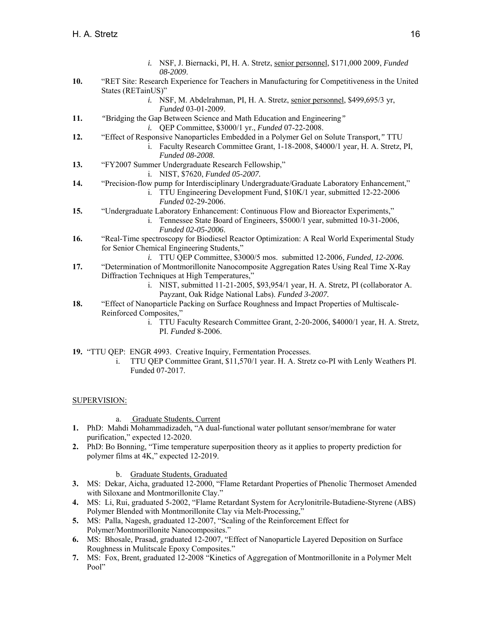- *i.* NSF, J. Biernacki, PI, H. A. Stretz, senior personnel, \$171,000 2009, *Funded 08-2009*.
- **10.** "RET Site: Research Experience for Teachers in Manufacturing for Competitiveness in the United States (RETainUS)"
	- *i.* NSF, M. Abdelrahman, PI, H. A. Stretz, senior personnel, \$499,695/3 yr, *Funded* 03-01-2009.
- **11.** *"*Bridging the Gap Between Science and Math Education and Engineering*"* 
	- *i.* QEP Committee, \$3000/1 yr., *Funded* 07-22-2008.
- **12.** "Effect of Responsive Nanoparticles Embedded in a Polymer Gel on Solute Transport*,"* TTU i. Faculty Research Committee Grant, 1-18-2008, \$4000/1 year, H. A. Stretz, PI,
	- *Funded 08-2008.*
- **13.** "FY2007 Summer Undergraduate Research Fellowship,"
	- i. NIST, \$7620, *Funded 05-2007.*
- **14.** "Precision-flow pump for Interdisciplinary Undergraduate/Graduate Laboratory Enhancement," i. TTU Engineering Development Fund, \$10K/1 year, submitted 12-22-2006
	- *Funded* 02-29-2006.
- **15.** "Undergraduate Laboratory Enhancement: Continuous Flow and Bioreactor Experiments,"
	- i. Tennessee State Board of Engineers, \$5000/1 year, submitted 10-31-2006, *Funded 02-05-2006*.
- **16.** "Real-Time spectroscopy for Biodiesel Reactor Optimization: A Real World Experimental Study for Senior Chemical Engineering Students,"
	- *i.* TTU QEP Committee, \$3000/5 mos. submitted 12-2006*, Funded, 12-2006.*
- **17.** "Determination of Montmorillonite Nanocomposite Aggregation Rates Using Real Time X-Ray Diffraction Techniques at High Temperatures,"
	- i. NIST, submitted 11-21-2005, \$93,954/1 year, H. A. Stretz, PI (collaborator A. Payzant, Oak Ridge National Labs). *Funded 3-2007.*
- **18.** "Effect of Nanoparticle Packing on Surface Roughness and Impact Properties of Multiscale-Reinforced Composites,"
	- i. TTU Faculty Research Committee Grant, 2-20-2006, \$4000/1 year, H. A. Stretz, PI. *Funded* 8-2006.
- **19.** "TTU QEP: ENGR 4993. Creative Inquiry, Fermentation Processes.
	- i. TTU QEP Committee Grant, \$11,570/1 year. H. A. Stretz co-PI with Lenly Weathers PI. Funded 07-2017.

## SUPERVISION:

- a. Graduate Students, Current
- **1.** PhD: Mahdi Mohammadizadeh, "A dual-functional water pollutant sensor/membrane for water purification," expected 12-2020.
- **2.** PhD: Bo Bonning, "Time temperature superposition theory as it applies to property prediction for polymer films at 4K," expected 12-2019.
	- b. Graduate Students, Graduated
- **3.** MS: Dekar, Aicha, graduated 12-2000, "Flame Retardant Properties of Phenolic Thermoset Amended with Siloxane and Montmorillonite Clay."
- **4.** MS: Li, Rui, graduated 5-2002, "Flame Retardant System for Acrylonitrile-Butadiene-Styrene (ABS) Polymer Blended with Montmorillonite Clay via Melt-Processing,"
- **5.** MS: Palla, Nagesh, graduated 12-2007, "Scaling of the Reinforcement Effect for Polymer/Montmorillonite Nanocomposites."
- **6.** MS: Bhosale, Prasad, graduated 12-2007, "Effect of Nanoparticle Layered Deposition on Surface Roughness in Mulitscale Epoxy Composites."
- **7.** MS: Fox, Brent, graduated 12-2008 "Kinetics of Aggregation of Montmorillonite in a Polymer Melt Pool"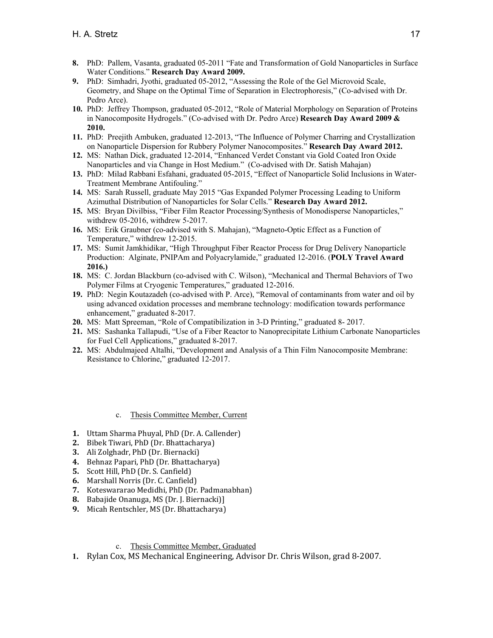- **8.** PhD: Pallem, Vasanta, graduated 05-2011 "Fate and Transformation of Gold Nanoparticles in Surface Water Conditions." **Research Day Award 2009.**
- **9.** PhD: Simhadri, Jyothi, graduated 05-2012, "Assessing the Role of the Gel Microvoid Scale, Geometry, and Shape on the Optimal Time of Separation in Electrophoresis," (Co-advised with Dr. Pedro Arce).
- **10.** PhD: Jeffrey Thompson, graduated 05-2012, "Role of Material Morphology on Separation of Proteins in Nanocomposite Hydrogels." (Co-advised with Dr. Pedro Arce) **Research Day Award 2009 & 2010.**
- **11.** PhD: Preejith Ambuken, graduated 12-2013, "The Influence of Polymer Charring and Crystallization on Nanoparticle Dispersion for Rubbery Polymer Nanocomposites." **Research Day Award 2012.**
- **12.** MS: Nathan Dick, graduated 12-2014, "Enhanced Verdet Constant via Gold Coated Iron Oxide Nanoparticles and via Change in Host Medium." (Co-advised with Dr. Satish Mahajan)
- **13.** PhD: Milad Rabbani Esfahani, graduated 05-2015, "Effect of Nanoparticle Solid Inclusions in Water-Treatment Membrane Antifouling."
- **14.** MS: Sarah Russell, graduate May 2015 "Gas Expanded Polymer Processing Leading to Uniform Azimuthal Distribution of Nanoparticles for Solar Cells." **Research Day Award 2012.**
- **15.** MS: Bryan Divilbiss, "Fiber Film Reactor Processing/Synthesis of Monodisperse Nanoparticles," withdrew 05-2016, withdrew 5-2017.
- **16.** MS: Erik Graubner (co-advised with S. Mahajan), "Magneto-Optic Effect as a Function of Temperature," withdrew 12-2015.
- **17.** MS: Sumit Jamkhidikar, "High Throughput Fiber Reactor Process for Drug Delivery Nanoparticle Production: Alginate, PNIPAm and Polyacrylamide," graduated 12-2016. (**POLY Travel Award 2016.)**
- **18.** MS: C. Jordan Blackburn (co-advised with C. Wilson), "Mechanical and Thermal Behaviors of Two Polymer Films at Cryogenic Temperatures," graduated 12-2016.
- **19.** PhD: Negin Koutazadeh (co-advised with P. Arce), "Removal of contaminants from water and oil by using advanced oxidation processes and membrane technology: modification towards performance enhancement," graduated 8-2017.
- **20.** MS: Matt Spreeman, "Role of Compatibilization in 3-D Printing," graduated 8- 2017.
- **21.** MS: Sashanka Tallapudi, "Use of a Fiber Reactor to Nanoprecipitate Lithium Carbonate Nanoparticles for Fuel Cell Applications," graduated 8-2017.
- **22.** MS: Abdulmajeed Altalhi, "Development and Analysis of a Thin Film Nanocomposite Membrane: Resistance to Chlorine," graduated 12-2017.
	- c. Thesis Committee Member, Current
- **1.** Uttam Sharma Phuyal, PhD (Dr. A. Callender)
- **2.** Bibek Tiwari, PhD (Dr. Bhattacharya)
- **3.** Ali Zolghadr, PhD (Dr. Biernacki)
- **4.** Behnaz Papari, PhD (Dr. Bhattacharya)
- **5.** Scott Hill, PhD (Dr. S. Canfield)
- **6.** Marshall Norris (Dr. C. Canfield)
- **7.** Koteswararao Medidhi, PhD (Dr. Padmanabhan)
- **8.** Babajide Onanuga, MS (Dr. J. Biernacki)]
- **9.** Micah Rentschler, MS (Dr. Bhattacharya)
	- c. Thesis Committee Member, Graduated
- **1.** Rylan Cox, MS Mechanical Engineering, Advisor Dr. Chris Wilson, grad 8-2007.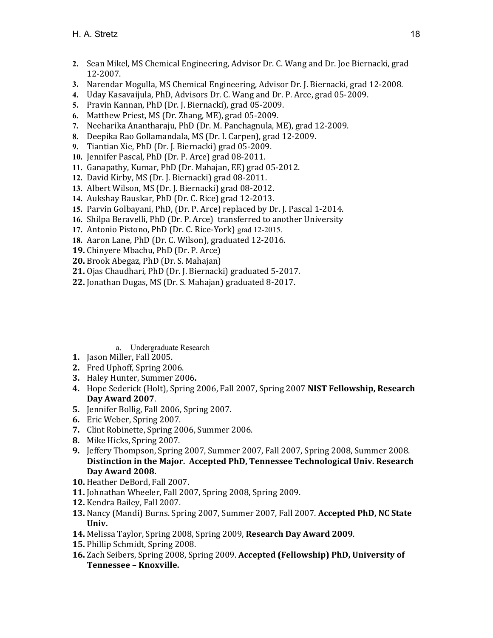- **2.** Sean Mikel, MS Chemical Engineering, Advisor Dr. C. Wang and Dr. Joe Biernacki, grad 12-2007.
- **3.** Narendar Mogulla, MS Chemical Engineering, Advisor Dr. J. Biernacki, grad 12-2008.
- **4.** Uday Kasavaijula, PhD, Advisors Dr. C. Wang and Dr. P. Arce, grad 05-2009.
- **5.** Pravin Kannan, PhD (Dr. J. Biernacki), grad 05-2009.
- **6.** Matthew Priest, MS (Dr. Zhang, ME), grad 05-2009.
- **7.** Neeharika Anantharaju, PhD (Dr. M. Panchagnula, ME), grad 12-2009.
- **8.** Deepika Rao Gollamandala, MS (Dr. I. Carpen), grad 12-2009.
- **9.** Tiantian Xie, PhD (Dr. J. Biernacki) grad 05-2009.
- **10.** Jennifer Pascal, PhD (Dr. P. Arce) grad 08-2011.
- **11.** Ganapathy, Kumar, PhD (Dr. Mahajan, EE) grad 05-2012.
- **12.** David Kirby, MS (Dr. J. Biernacki) grad 08-2011.
- **13.** Albert Wilson, MS (Dr. J. Biernacki) grad 08-2012.
- **14.** Aukshay Bauskar, PhD (Dr. C. Rice) grad 12-2013.
- **15.** Parvin Golbayani, PhD, (Dr. P. Arce) replaced by Dr. J. Pascal 1-2014.
- **16.** Shilpa Beravelli, PhD (Dr. P. Arce) transferred to another University
- **17.** Antonio Pistono, PhD (Dr. C. Rice-York) grad 12-2015.
- **18.** Aaron Lane, PhD (Dr. C. Wilson), graduated 12-2016.
- **19.** Chinyere Mbachu, PhD (Dr. P. Arce)
- **20.** Brook Abegaz, PhD (Dr. S. Mahajan)
- **21.** Ojas Chaudhari, PhD (Dr. J. Biernacki) graduated 5-2017.
- **22.** Jonathan Dugas, MS (Dr. S. Mahajan) graduated 8-2017.

a. Undergraduate Research

- **1.** Jason Miller, Fall 2005.
- **2.** Fred Uphoff, Spring 2006.
- **3.** Haley Hunter, Summer 2006**.**
- **4.** Hope Sederick (Holt), Spring 2006, Fall 2007, Spring 2007 **NIST Fellowship, Research Day Award 2007**.
- **5.** Jennifer Bollig, Fall 2006, Spring 2007.
- **6.** Eric Weber, Spring 2007.
- **7.** Clint Robinette, Spring 2006, Summer 2006.
- **8.** Mike Hicks, Spring 2007.
- **9.** Jeffery Thompson, Spring 2007, Summer 2007, Fall 2007, Spring 2008, Summer 2008. **Distinction in the Major. Accepted PhD, Tennessee Technological Univ. Research Day Award 2008.**
- **10.** Heather DeBord, Fall 2007.
- **11.** Johnathan Wheeler, Fall 2007, Spring 2008, Spring 2009.
- **12.** Kendra Bailey, Fall 2007.
- **13.** Nancy (Mandi) Burns. Spring 2007, Summer 2007, Fall 2007. **Accepted PhD, NC State Univ.**
- **14.** Melissa Taylor, Spring 2008, Spring 2009, **Research Day Award 2009**.
- **15.** Phillip Schmidt, Spring 2008.
- **16.** Zach Seibers, Spring 2008, Spring 2009. **Accepted (Fellowship) PhD, University of Tennessee – Knoxville.**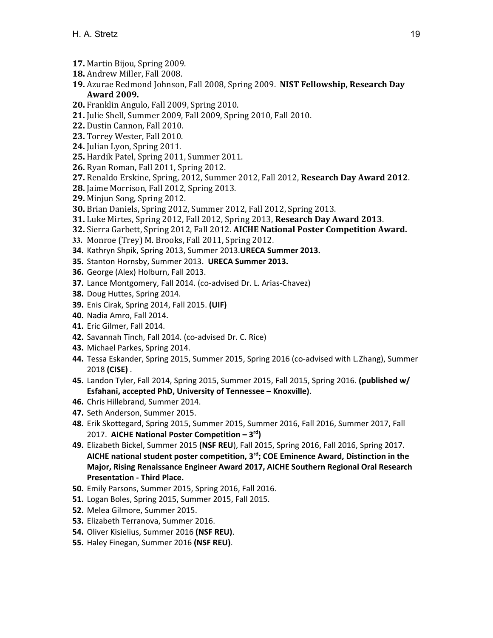- **17.** Martin Bijou, Spring 2009.
- **18.** Andrew Miller, Fall 2008.
- **19.** Azurae Redmond Johnson, Fall 2008, Spring 2009. **NIST Fellowship, Research Day Award 2009.**
- **20.** Franklin Angulo, Fall 2009, Spring 2010.
- **21.** Julie Shell, Summer 2009, Fall 2009, Spring 2010, Fall 2010.
- **22.** Dustin Cannon, Fall 2010.
- **23.** Torrey Wester, Fall 2010.
- **24.** Julian Lyon, Spring 2011.
- **25.** Hardik Patel, Spring 2011, Summer 2011.
- **26.** Ryan Roman, Fall 2011, Spring 2012.
- **27.** Renaldo Erskine, Spring, 2012, Summer 2012, Fall 2012, **Research Day Award 2012**.
- **28.** Jaime Morrison, Fall 2012, Spring 2013.
- **29.** Minjun Song, Spring 2012.
- **30.** Brian Daniels, Spring 2012, Summer 2012, Fall 2012, Spring 2013.
- **31.** Luke Mirtes, Spring 2012, Fall 2012, Spring 2013, **Research Day Award 2013**.
- **32.** Sierra Garbett, Spring 2012, Fall 2012. **AICHE National Poster Competition Award.**
- **33.** Monroe (Trey) M. Brooks, Fall 2011, Spring 2012.
- **34.** Kathryn Shpik, Spring 2013, Summer 2013.**URECA Summer 2013.**
- **35.** Stanton Hornsby, Summer 2013. **URECA Summer 2013.**
- **36.** George (Alex) Holburn, Fall 2013.
- **37.** Lance Montgomery, Fall 2014. (co‐advised Dr. L. Arias‐Chavez)
- **38.** Doug Huttes, Spring 2014.
- **39.** Enis Cirak, Spring 2014, Fall 2015. **(UIF)**
- **40.** Nadia Amro, Fall 2014.
- **41.** Eric Gilmer, Fall 2014.
- **42.** Savannah Tinch, Fall 2014. (co‐advised Dr. C. Rice)
- **43.** Michael Parkes, Spring 2014.
- **44.** Tessa Eskander, Spring 2015, Summer 2015, Spring 2016 (co‐advised with L.Zhang), Summer 2018 **(CISE)** .
- **45.** Landon Tyler, Fall 2014, Spring 2015, Summer 2015, Fall 2015, Spring 2016. **(published w/ Esfahani, accepted PhD, University of Tennessee – Knoxville)**.
- **46.** Chris Hillebrand, Summer 2014.
- **47.** Seth Anderson, Summer 2015.
- **48.** Erik Skottegard, Spring 2015, Summer 2015, Summer 2016, Fall 2016, Summer 2017, Fall 2017. **AICHE National Poster Competition – 3rd)**
- **49.** Elizabeth Bickel, Summer 2015 **(NSF REU**), Fall 2015, Spring 2016, Fall 2016, Spring 2017. **AICHE national student poster competition, 3rd; COE Eminence Award, Distinction in the Major, Rising Renaissance Engineer Award 2017, AICHE Southern Regional Oral Research Presentation ‐ Third Place.**
- **50.** Emily Parsons, Summer 2015, Spring 2016, Fall 2016.
- **51.** Logan Boles, Spring 2015, Summer 2015, Fall 2015.
- **52.** Melea Gilmore, Summer 2015.
- **53.** Elizabeth Terranova, Summer 2016.
- **54.** Oliver Kisielius, Summer 2016 **(NSF REU)**.
- **55.** Haley Finegan, Summer 2016 **(NSF REU)**.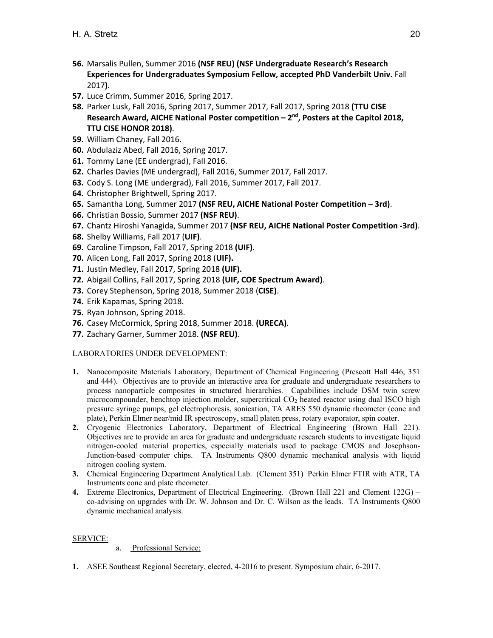- **56.** Marsalis Pullen, Summer 2016 **(NSF REU) (NSF Undergraduate Research's Research Experiences for Undergraduates Symposium Fellow, accepted PhD Vanderbilt Univ.** Fall 2017**)**.
- **57.** Luce Crimm, Summer 2016, Spring 2017.
- **58.** Parker Lusk, Fall 2016, Spring 2017, Summer 2017, Fall 2017, Spring 2018 **(TTU CISE**  Research Award, AICHE National Poster competition – 2<sup>nd</sup>, Posters at the Capitol 2018, **TTU CISE HONOR 2018)**.
- **59.** William Chaney, Fall 2016.
- **60.** Abdulaziz Abed, Fall 2016, Spring 2017.
- **61.** Tommy Lane (EE undergrad), Fall 2016.
- **62.** Charles Davies (ME undergrad), Fall 2016, Summer 2017, Fall 2017.
- **63.** Cody S. Long (ME undergrad), Fall 2016, Summer 2017, Fall 2017.
- **64.** Christopher Brightwell, Spring 2017.
- **65.** Samantha Long, Summer 2017 **(NSF REU, AICHE National Poster Competition 3rd)**.
- **66.** Christian Bossio, Summer 2017 **(NSF REU)**.
- **67.** Chantz Hiroshi Yanagida, Summer 2017 **(NSF REU, AICHE National Poster Competition ‐3rd)**.
- **68.** Shelby Williams, Fall 2017 (**UIF)**.
- **69.** Caroline Timpson, Fall 2017, Spring 2018 **(UIF)**.
- **70.** Alicen Long, Fall 2017, Spring 2018 (**UIF).**
- **71.** Justin Medley, Fall 2017, Spring 2018 **(UIF).**
- **72.** Abigail Collins, Fall 2017, Spring 2018 **(UIF, COE Spectrum Award)**.
- **73.** Corey Stephenson, Spring 2018, Summer 2018 (**CISE)**.
- **74.** Erik Kapamas, Spring 2018.
- **75.** Ryan Johnson, Spring 2018.
- **76.** Casey McCormick, Spring 2018, Summer 2018. **(URECA)**.
- **77.** Zachary Garner, Summer 2018. **(NSF REU)**.

# LABORATORIES UNDER DEVELOPMENT:

- **1.** Nanocomposite Materials Laboratory, Department of Chemical Engineering (Prescott Hall 446, 351 and 444). Objectives are to provide an interactive area for graduate and undergraduate researchers to process nanoparticle composites in structured hierarchies. Capabilities include DSM twin screw microcompounder, benchtop injection molder, supercritical  $CO<sub>2</sub>$  heated reactor using dual ISCO high pressure syringe pumps, gel electrophoresis, sonication, TA ARES 550 dynamic rheometer (cone and plate), Perkin Elmer near/mid IR spectroscopy, small platen press, rotary evaporator, spin coater.
- **2.** Cryogenic Electronics Laboratory, Department of Electrical Engineering (Brown Hall 221). Objectives are to provide an area for graduate and undergraduate research students to investigate liquid nitrogen-cooled material properties, especially materials used to package CMOS and Josephson-Junction-based computer chips. TA Instruments Q800 dynamic mechanical analysis with liquid nitrogen cooling system.
- **3.** Chemical Engineering Department Analytical Lab. (Clement 351) Perkin Elmer FTIR with ATR, TA Instruments cone and plate rheometer.
- **4.** Extreme Electronics, Department of Electrical Engineering. (Brown Hall 221 and Clement 122G) co-advising on upgrades with Dr. W. Johnson and Dr. C. Wilson as the leads. TA Instruments Q800 dynamic mechanical analysis.

# SERVICE:

- a. Professional Service:
- **1.** ASEE Southeast Regional Secretary, elected, 4-2016 to present. Symposium chair, 6-2017.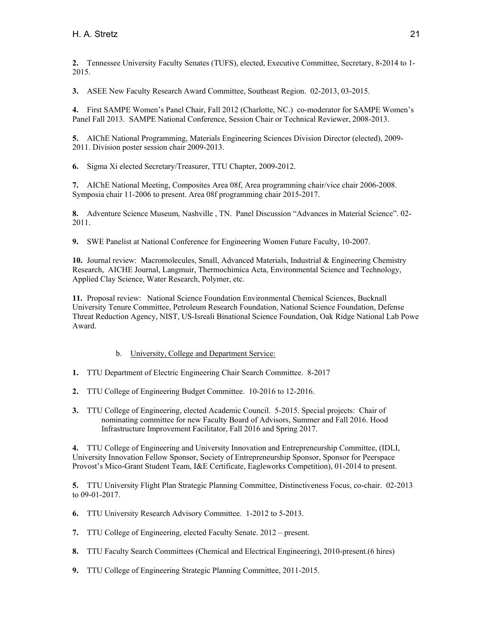**2.** Tennessee University Faculty Senates (TUFS), elected, Executive Committee, Secretary, 8-2014 to 1- 2015.

**3.** ASEE New Faculty Research Award Committee, Southeast Region. 02-2013, 03-2015.

**4.** First SAMPE Women's Panel Chair, Fall 2012 (Charlotte, NC.) co-moderator for SAMPE Women's Panel Fall 2013. SAMPE National Conference, Session Chair or Technical Reviewer, 2008-2013.

**5.** AIChE National Programming, Materials Engineering Sciences Division Director (elected), 2009- 2011. Division poster session chair 2009-2013.

**6.** Sigma Xi elected Secretary/Treasurer, TTU Chapter, 2009-2012.

**7.** AIChE National Meeting, Composites Area 08f, Area programming chair/vice chair 2006-2008. Symposia chair 11-2006 to present. Area 08f programming chair 2015-2017.

**8.** Adventure Science Museum, Nashville , TN. Panel Discussion "Advances in Material Science". 02- 2011.

**9.** SWE Panelist at National Conference for Engineering Women Future Faculty, 10-2007.

**10.** Journal review: Macromolecules, Small, Advanced Materials, Industrial & Engineering Chemistry Research, AICHE Journal, Langmuir, Thermochimica Acta, Environmental Science and Technology, Applied Clay Science, Water Research, Polymer, etc.

**11.** Proposal review: National Science Foundation Environmental Chemical Sciences, Bucknall University Tenure Committee, Petroleum Research Foundation, National Science Foundation, Defense Threat Reduction Agency, NIST, US-Isreali Binational Science Foundation, Oak Ridge National Lab Powe Award.

# b. University, College and Department Service:

- **1.** TTU Department of Electric Engineering Chair Search Committee. 8-2017
- **2.** TTU College of Engineering Budget Committee. 10-2016 to 12-2016.
- **3.** TTU College of Engineering, elected Academic Council. 5-2015. Special projects: Chair of nominating committee for new Faculty Board of Advisors, Summer and Fall 2016. Hood Infrastructure Improvement Facilitator, Fall 2016 and Spring 2017.

**4.** TTU College of Engineering and University Innovation and Entrepreneurship Committee, (IDLI, University Innovation Fellow Sponsor, Society of Entrepreneurship Sponsor, Sponsor for Peerspace Provost's Mico-Grant Student Team, I&E Certificate, Eagleworks Competition), 01-2014 to present.

**5.** TTU University Flight Plan Strategic Planning Committee, Distinctiveness Focus, co-chair. 02-2013 to 09-01-2017.

- **6.** TTU University Research Advisory Committee. 1-2012 to 5-2013.
- **7.** TTU College of Engineering, elected Faculty Senate. 2012 present.
- **8.** TTU Faculty Search Committees (Chemical and Electrical Engineering), 2010-present.(6 hires)
- **9.** TTU College of Engineering Strategic Planning Committee, 2011-2015.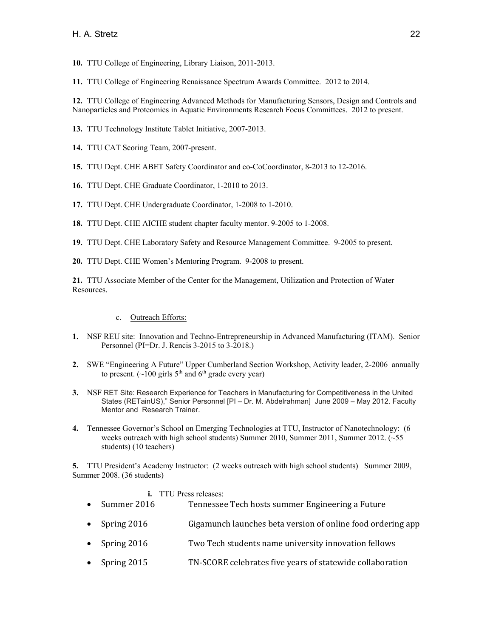**10.** TTU College of Engineering, Library Liaison, 2011-2013.

**11.** TTU College of Engineering Renaissance Spectrum Awards Committee. 2012 to 2014.

**12.** TTU College of Engineering Advanced Methods for Manufacturing Sensors, Design and Controls and Nanoparticles and Proteomics in Aquatic Environments Research Focus Committees. 2012 to present.

**13.** TTU Technology Institute Tablet Initiative, 2007-2013.

- **14.** TTU CAT Scoring Team, 2007-present.
- **15.** TTU Dept. CHE ABET Safety Coordinator and co-CoCoordinator, 8-2013 to 12-2016.
- **16.** TTU Dept. CHE Graduate Coordinator, 1-2010 to 2013.
- **17.** TTU Dept. CHE Undergraduate Coordinator, 1-2008 to 1-2010.
- **18.** TTU Dept. CHE AICHE student chapter faculty mentor. 9-2005 to 1-2008.
- **19.** TTU Dept. CHE Laboratory Safety and Resource Management Committee. 9-2005 to present.
- **20.** TTU Dept. CHE Women's Mentoring Program. 9-2008 to present.

**21.** TTU Associate Member of the Center for the Management, Utilization and Protection of Water Resources.

- c. Outreach Efforts:
- **1.** NSF REU site: Innovation and Techno-Entrepreneurship in Advanced Manufacturing (ITAM). Senior Personnel (PI=Dr. J. Rencis 3-2015 to 3-2018.)
- **2.** SWE "Engineering A Future" Upper Cumberland Section Workshop, Activity leader, 2-2006 annually to present. ( $\sim$ 100 girls 5<sup>th</sup> and 6<sup>th</sup> grade every year)
- **3.** NSF RET Site: Research Experience for Teachers in Manufacturing for Competitiveness in the United States (RETainUS)," Senior Personnel [PI – Dr. M. Abdelrahman] June 2009 – May 2012. Faculty Mentor and Research Trainer.
- **4.** Tennessee Governor's School on Emerging Technologies at TTU, Instructor of Nanotechnology: (6 weeks outreach with high school students) Summer 2010, Summer 2011, Summer 2012. (~55 students) (10 teachers)

**5.** TTU President's Academy Instructor: (2 weeks outreach with high school students) Summer 2009, Summer 2008. (36 students)

## **i.** TTU Press releases:

- Summer 2016 Tennessee Tech hosts summer Engineering a Future
- Spring 2016 Gigamunch launches beta version of online food ordering app
- Spring 2016 Two Tech students name university innovation fellows
- Spring 2015 TN-SCORE celebrates five years of statewide collaboration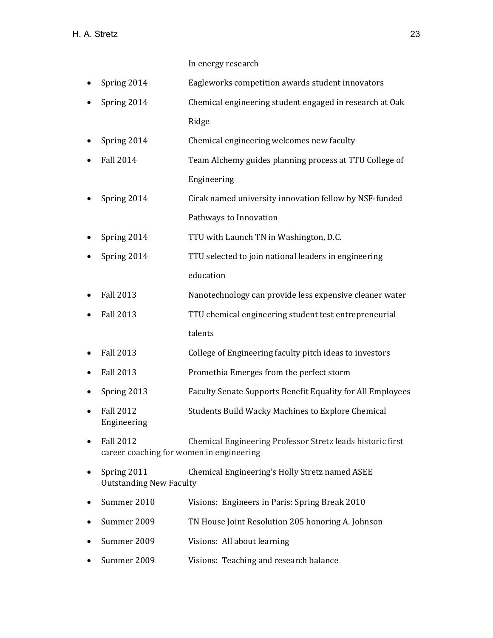In energy research

- Spring 2014 Eagleworks competition awards student innovators
- Spring 2014 Chemical engineering student engaged in research at Oak Ridge
- Spring 2014 Chemical engineering welcomes new faculty
- Fall 2014 Team Alchemy guides planning process at TTU College of Engineering
- Spring 2014 Cirak named university innovation fellow by NSF-funded Pathways to Innovation
- Spring 2014 TTU with Launch TN in Washington, D.C.
- Spring 2014 TTU selected to join national leaders in engineering education
- Fall 2013 Nanotechnology can provide less expensive cleaner water
- Fall 2013 TTU chemical engineering student test entrepreneurial talents
- Fall 2013 College of Engineering faculty pitch ideas to investors
- Fall 2013 Promethia Emerges from the perfect storm
- Spring 2013 Faculty Senate Supports Benefit Equality for All Employees
- Fall 2012 Students Build Wacky Machines to Explore Chemical Engineering
- Fall 2012 **Chemical Engineering Professor Stretz leads historic first** career coaching for women in engineering
- Spring 2011 Chemical Engineering's Holly Stretz named ASEE Outstanding New Faculty
- Summer 2010 Visions: Engineers in Paris: Spring Break 2010
- Summer 2009 TN House Joint Resolution 205 honoring A. Johnson
- Summer 2009 Visions: All about learning
- Summer 2009 Visions: Teaching and research balance